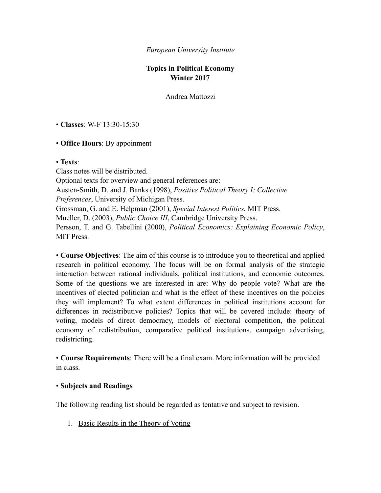### *European University Institute*

# **Topics in Political Economy Winter 2017**

Andrea Mattozzi

• **Classes**: W-F 13:30-15:30

## • **Office Hours**: By appoinment

## • **Texts**:

Class notes will be distributed. Optional texts for overview and general references are: Austen-Smith, D. and J. Banks (1998), *Positive Political Theory I: Collective Preferences*, University of Michigan Press. Grossman, G. and E. Helpman (2001), *Special Interest Politics*, MIT Press. Mueller, D. (2003), *Public Choice III*, Cambridge University Press. Persson, T. and G. Tabellini (2000), *Political Economics: Explaining Economic Policy*, MIT Press.

• **Course Objectives**: The aim of this course is to introduce you to theoretical and applied research in political economy. The focus will be on formal analysis of the strategic interaction between rational individuals, political institutions, and economic outcomes. Some of the questions we are interested in are: Why do people vote? What are the incentives of elected politician and what is the effect of these incentives on the policies they will implement? To what extent differences in political institutions account for differences in redistributive policies? Topics that will be covered include: theory of voting, models of direct democracy, models of electoral competition, the political economy of redistribution, comparative political institutions, campaign advertising, redistricting.

• **Course Requirements**: There will be a final exam. More information will be provided in class.

# • **Subjects and Readings**

The following reading list should be regarded as tentative and subject to revision.

1. Basic Results in the Theory of Voting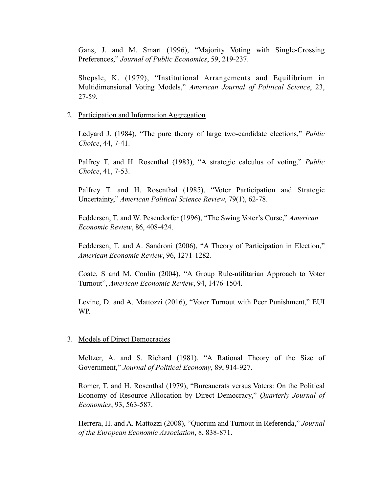Gans, J. and M. Smart (1996), "Majority Voting with Single-Crossing Preferences," *Journal of Public Economics*, 59, 219-237.

Shepsle, K. (1979), "Institutional Arrangements and Equilibrium in Multidimensional Voting Models," *American Journal of Political Science*, 23, 27-59.

#### 2. Participation and Information Aggregation

Ledyard J. (1984), "The pure theory of large two-candidate elections," *Public Choice*, 44, 7-41.

Palfrey T. and H. Rosenthal (1983), "A strategic calculus of voting," *Public Choice*, 41, 7-53.

Palfrey T. and H. Rosenthal (1985), "Voter Participation and Strategic Uncertainty," *American Political Science Review*, 79(1), 62-78.

Feddersen, T. and W. Pesendorfer (1996), "The Swing Voter's Curse," *American Economic Review*, 86, 408-424.

Feddersen, T. and A. Sandroni (2006), "A Theory of Participation in Election," *American Economic Review*, 96, 1271-1282.

Coate, S and M. Conlin (2004), "A Group Rule-utilitarian Approach to Voter Turnout", *American Economic Review*, 94, 1476-1504.

Levine, D. and A. Mattozzi (2016), "Voter Turnout with Peer Punishment," EUI WP.

#### 3. Models of Direct Democracies

Meltzer, A. and S. Richard (1981), "A Rational Theory of the Size of Government," *Journal of Political Economy*, 89, 914-927.

Romer, T. and H. Rosenthal (1979), "Bureaucrats versus Voters: On the Political Economy of Resource Allocation by Direct Democracy," *Quarterly Journal of Economics*, 93, 563-587.

Herrera, H. and A. Mattozzi (2008), "Quorum and Turnout in Referenda," *Journal of the European Economic Association*, 8, 838-871.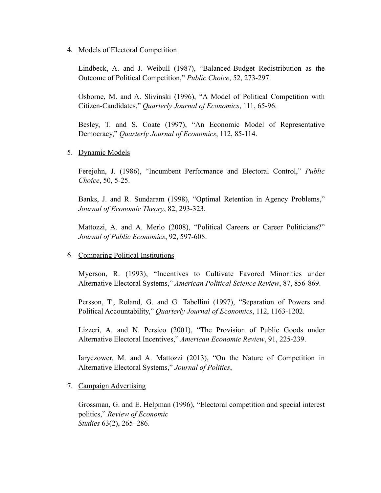## 4. Models of Electoral Competition

Lindbeck, A. and J. Weibull (1987), "Balanced-Budget Redistribution as the Outcome of Political Competition," *Public Choice*, 52, 273-297.

Osborne, M. and A. Slivinski (1996), "A Model of Political Competition with Citizen-Candidates," *Quarterly Journal of Economics*, 111, 65-96.

Besley, T. and S. Coate (1997), "An Economic Model of Representative Democracy," *Quarterly Journal of Economics*, 112, 85-114.

# 5. Dynamic Models

Ferejohn, J. (1986), "Incumbent Performance and Electoral Control," *Public Choice*, 50, 5-25.

Banks, J. and R. Sundaram (1998), "Optimal Retention in Agency Problems," *Journal of Economic Theory*, 82, 293-323.

Mattozzi, A. and A. Merlo (2008), "Political Careers or Career Politicians?" *Journal of Public Economics*, 92, 597-608.

### 6. Comparing Political Institutions

Myerson, R. (1993), "Incentives to Cultivate Favored Minorities under Alternative Electoral Systems," *American Political Science Review*, 87, 856-869.

Persson, T., Roland, G. and G. Tabellini (1997), "Separation of Powers and Political Accountability," *Quarterly Journal of Economics*, 112, 1163-1202.

Lizzeri, A. and N. Persico (2001), "The Provision of Public Goods under Alternative Electoral Incentives," *American Economic Review*, 91, 225-239.

Iaryczower, M. and A. Mattozzi (2013), "On the Nature of Competition in Alternative Electoral Systems," *Journal of Politics*,

# 7. Campaign Advertising

Grossman, G. and E. Helpman (1996), "Electoral competition and special interest politics," *Review of Economic Studies* 63(2), 265–286.